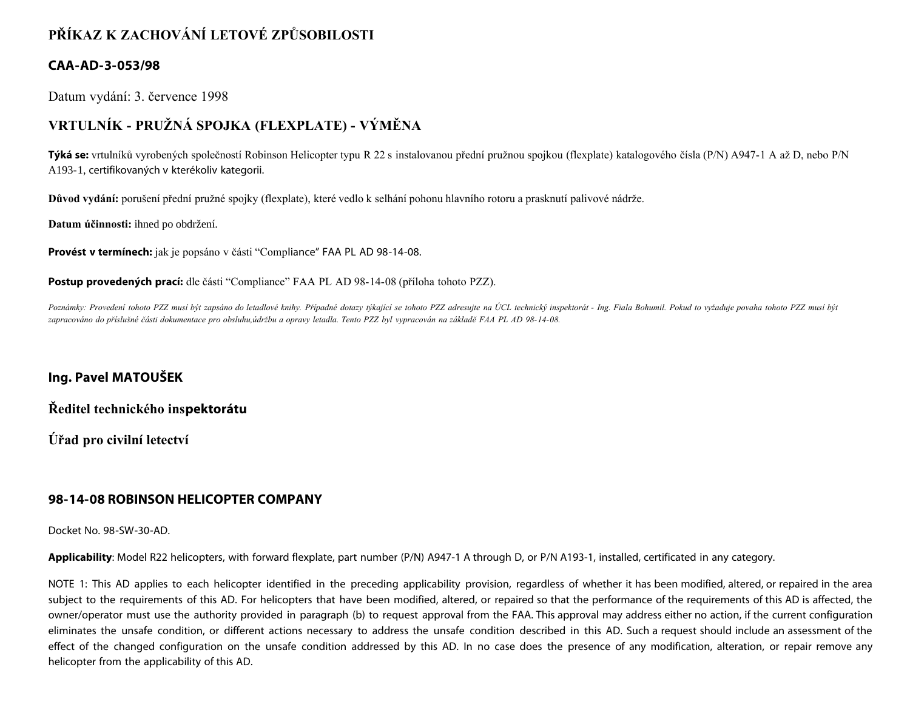# **PŘÍKAZ K ZACHOVÁNÍ LETOVÉ ZPŮSOBILOSTI**

### **CAA-AD-3-053/98**

Datum vydání: 3. července 1998

## **VRTULNÍK - PRUŽNÁ SPOJKA (FLEXPLATE) - VÝMĚNA**

**Týká se:** vrtulníků vyrobených společností Robinson Helicopter typu R 22 s instalovanou přední pružnou spojkou (flexplate) katalogového čísla (P/N) A947-1 A až D, nebo P/N A193-1, certifikovaných v kterékoliv kategorii.

**Důvod vydání:** porušení přední pružné spojky (flexplate), které vedlo k selhání pohonu hlavního rotoru a prasknutí palivové nádrže.

**Datum účinnosti:** ihned po obdržení.

**Provést v termínech:** jak je popsáno v části "Compliance" FAA PL AD 98-14-08.

**Postup provedených prací:** dle části "Compliance" FAA PL AD 98-14-08 (příloha tohoto PZZ).

*Poznámky: Provedení tohoto PZZ musí být zapsáno do letadlové knihy. Případné dotazy týkající se tohoto PZZ adresujte na ÚCL technický inspektorát - Ing. Fiala Bohumil. Pokud to vyžaduje povaha tohoto PZZ musí být zapracováno do příslušné části dokumentace pro obsluhu,údržbu a opravy letadla. Tento PZZ byl vypracován na základě FAA PL AD 98-14-08.*

### **Ing. Pavel MATOUŠEK**

**Ředitel technického inspektorátu**

**Úřad pro civilní letectví**

### **98-14-08 ROBINSON HELICOPTER COMPANY**

Docket No. 98-SW-30-AD.

**Applicability**: Model R22 helicopters, with forward flexplate, part number (P/N) A947-1 A through D, or P/N A193-1, installed, certificated in any category.

NOTE 1: This AD applies to each helicopter identified in the preceding applicability provision, regardless of whether it has been modified, altered, or repaired in the area subject to the requirements of this AD. For helicopters that have been modified, altered, or repaired so that the performance of the requirements of this AD is affected, the owner/operator must use the authority provided in paragraph (b) to request approval from the FAA. This approval may address either no action, if the current configuration eliminates the unsafe condition, or different actions necessary to address the unsafe condition described in this AD. Such a request should include an assessment of the effect of the changed configuration on the unsafe condition addressed by this AD. In no case does the presence of any modification, alteration, or repair remove any helicopter from the applicability of this AD.